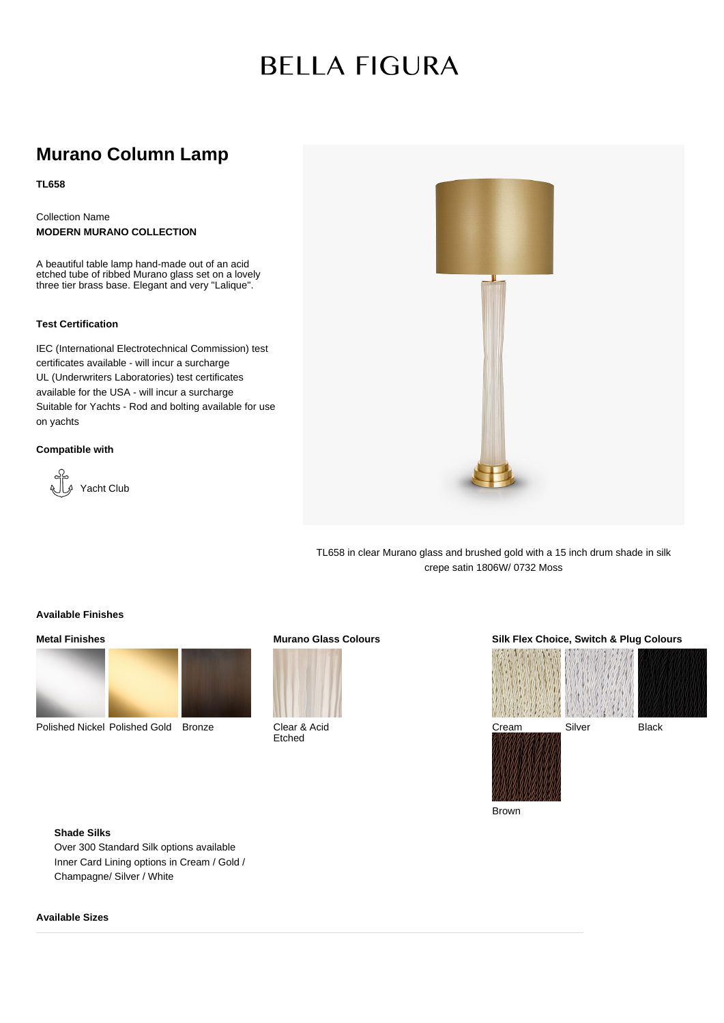# **BELLA FIGURA**

# **Murano Column Lamp**

**TL658**

Collection Name **MODERN MURANO COLLECTION**

A beautiful table lamp hand-made out of an acid etched tube of ribbed Murano glass set on a lovely three tier brass base. Elegant and very "Lalique".

#### **Test Certification**

IEC (International Electrotechnical Commission) test certificates available - will incur a surcharge UL (Underwriters Laboratories) test certificates available for the USA - will incur a surcharge Suitable for Yachts - Rod and bolting available for use on yachts

#### **Compatible with**





TL658 in clear Murano glass and brushed gold with a 15 inch drum shade in silk crepe satin 1806W/ 0732 Moss

#### **Available Finishes**

### **Metal Finishes**



Polished Nickel Polished Gold Bronze

## **Murano Glass Colours**



Clear & Acid Etched

#### **Silk Flex Choice, Switch & Plug Colours**



Brown

## **Shade Silks**

Over 300 Standard Silk options available Inner Card Lining options in Cream / Gold / Champagne/ Silver / White

#### **Available Sizes**